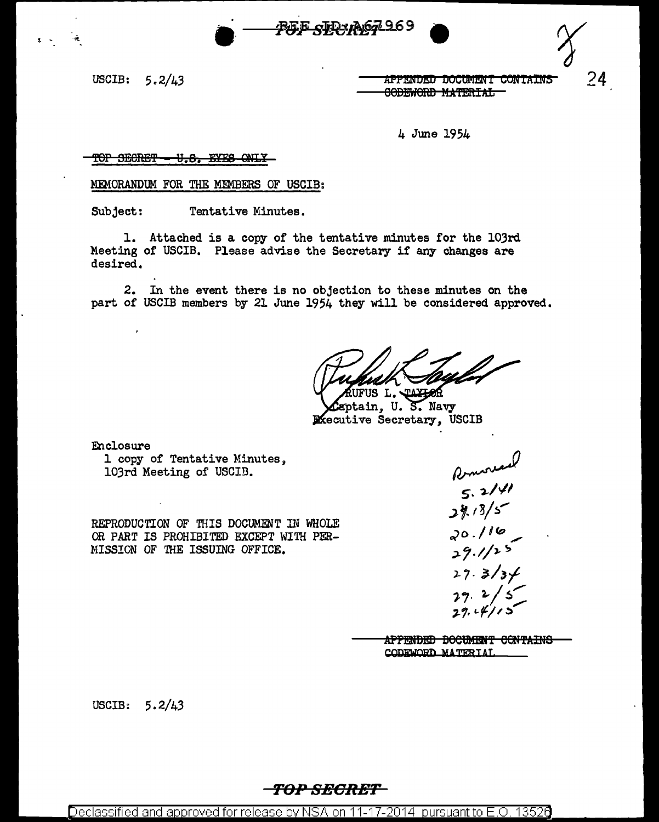USCIB:  $5.2/43$ 

<u>APPENDED DOCUMENT CONTAINS</u> <del>CODEWORD MATERIAL</del>

 $24$ 

4 June 1954

#### TOP SECRET <del>- U.S. EYES ONLY</del>

MEMORANDUM FOR THE MEMBERS OF USCIB:

Tentative Minutes. Subject:

1. Attached is a copy of the tentative minutes for the 103rd Meeting of USCIB. Please advise the Secretary if any changes are desired.

2. In the event there is no objection to these minutes on the part of USCIB members by 21 June 1954 they will be considered approved.

<u>РЕБ сТР Абд 969</u>

US L. JAYL

ptain, U. S. Navy **Piecutive Secretary, USCIB** 

Enclosure

1 copy of Tentative Minutes, 103rd Meeting of USCIB.

REPRODUCTION OF THIS DOCUMENT IN WHOLE OR PART IS PROHIBITED EXCEPT WITH PER-MISSION OF THE ISSUING OFFICE.

Romoved<br>5.2/41<br>29.13/5 20.116  $29.1125$  $27.3/3/$ 

APPENDED DOCUMENT CONTAINS CODEWORD MATERIAL

USCIB:  $5.2/43$ 

## TOP SECRET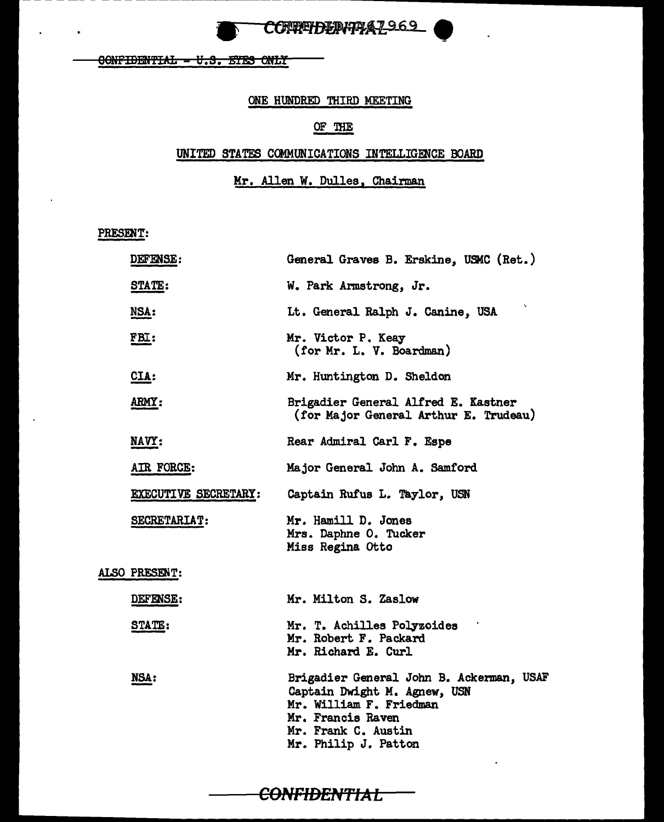

OONFIDENTIAL - U.S. ETES ONLY

#### ONE HUNDRED THIRD MEETING

## OF THE

### UNITED STATES COMMUNICATIONS INTELLIGENCE BOARD

Mr. Allen W. Dulles, Chairman

PRESENT:

| DEFENSE:             | General Graves B. Erskine, USMC (Ret.)                                                                                                                                  |
|----------------------|-------------------------------------------------------------------------------------------------------------------------------------------------------------------------|
| <b>STATE:</b>        | W. Park Armstrong, Jr.                                                                                                                                                  |
| NSA:                 | Lt. General Ralph J. Canine, USA                                                                                                                                        |
| <u>FBI:</u>          | Mr. Victor P. Keay<br>(for Mr. L. V. Boardman)                                                                                                                          |
| CIA:                 | Mr. Huntington D. Sheldon                                                                                                                                               |
| ARMY:                | Brigadier General Alfred E. Kastner<br>(for Major General Arthur E. Trudeau)                                                                                            |
| NAVY:                | Rear Admiral Carl F. Espe                                                                                                                                               |
| AIR FORCE:           | Major General John A. Samford                                                                                                                                           |
| EXECUTIVE SECRETARY: | Captain Rufus L. Taylor, USN                                                                                                                                            |
| SECRETARIAT:         | Mr. Hamill D. Jones<br>Mrs. Daphne O. Tucker<br>Miss Regina Otto                                                                                                        |
| ALSO PRESENT:        |                                                                                                                                                                         |
| DEFENSE:             | Mr. Milton S. Zaslow                                                                                                                                                    |
| STATE:               | Mr. T. Achilles Polyzoides<br>Mr. Robert F. Packard<br>Mr. Richard E. Curl                                                                                              |
| NSA:                 | Brigadier General John B. Ackerman, USAF<br>Captain Dwight M. Agnew, USN<br>Mr. William F. Friedman<br>Mr. Francis Raven<br>Mr. Frank C. Austin<br>Mr. Philip J. Patton |

#### CONFIDENTIAL